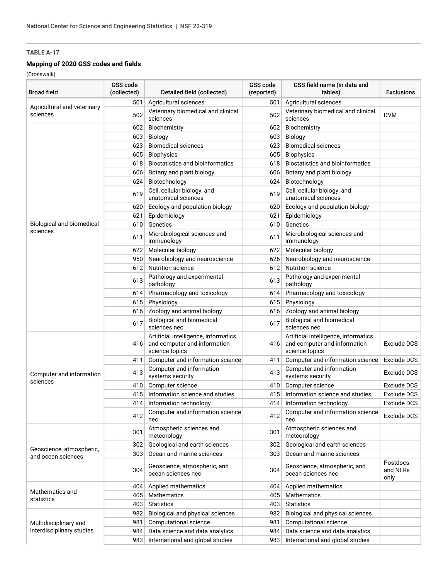## **Mapping of 2020 GSS codes and fields**

(Crosswalk)

| <b>Broad field</b>                             | GSS code<br>(collected) | Detailed field (collected)                                                             | GSS code<br>(reported) | GSS field name (in data and<br>tables)                                                 | <b>Exclusions</b>            |
|------------------------------------------------|-------------------------|----------------------------------------------------------------------------------------|------------------------|----------------------------------------------------------------------------------------|------------------------------|
|                                                | 501                     | Agricultural sciences                                                                  | 501                    | Agricultural sciences                                                                  |                              |
| Agricultural and veterinary<br>sciences        | 502                     | Veterinary biomedical and clinical<br>sciences                                         | 502                    | Veterinary biomedical and clinical<br>sciences                                         | <b>DVM</b>                   |
|                                                | 602                     | Biochemistry                                                                           | 602                    | Biochemistry                                                                           |                              |
|                                                | 603                     | Biology                                                                                | 603                    | <b>Biology</b>                                                                         |                              |
|                                                | 623                     | <b>Biomedical sciences</b>                                                             | 623                    | <b>Biomedical sciences</b>                                                             |                              |
|                                                | 605                     | <b>Biophysics</b>                                                                      | 605                    | <b>Biophysics</b>                                                                      |                              |
|                                                | 618                     | Biostatistics and bioinformatics                                                       | 618                    | <b>Biostatistics and bioinformatics</b>                                                |                              |
|                                                | 606                     | Botany and plant biology                                                               | 606                    | Botany and plant biology                                                               |                              |
|                                                | 624                     | Biotechnology                                                                          | 624                    | Biotechnology                                                                          |                              |
|                                                | 619                     | Cell, cellular biology, and<br>anatomical sciences                                     | 619                    | Cell, cellular biology, and<br>anatomical sciences                                     |                              |
|                                                | 620                     | Ecology and population biology                                                         | 620                    | Ecology and population biology                                                         |                              |
|                                                | 621                     | Epidemiology                                                                           | 621                    | Epidemiology                                                                           |                              |
| Biological and biomedical                      | 610                     | Genetics                                                                               | 610                    | Genetics                                                                               |                              |
| sciences                                       | 611                     | Microbiological sciences and<br>immunology                                             | 611                    | Microbiological sciences and<br>immunology                                             |                              |
|                                                | 622                     | Molecular biology                                                                      | 622                    | Molecular biology                                                                      |                              |
|                                                | 950                     | Neurobiology and neuroscience                                                          | 626                    | Neurobiology and neuroscience                                                          |                              |
|                                                | 612                     | <b>Nutrition science</b>                                                               | 612                    | <b>Nutrition science</b>                                                               |                              |
|                                                | 613                     | Pathology and experimental<br>pathology                                                | 613                    | Pathology and experimental<br>pathology                                                |                              |
|                                                | 614                     | Pharmacology and toxicology                                                            | 614                    | Pharmacology and toxicology                                                            |                              |
|                                                | 615                     | Physiology                                                                             | 615                    | Physiology                                                                             |                              |
|                                                | 616                     | Zoology and animal biology                                                             | 616                    | Zoology and animal biology                                                             |                              |
|                                                | 617                     | <b>Biological and biomedical</b><br>sciences nec                                       | 617                    | <b>Biological and biomedical</b><br>sciences nec                                       |                              |
|                                                | 416                     | Artificial intelligence, informatics<br>and computer and information<br>science topics | 416                    | Artificial intelligence, informatics<br>and computer and information<br>science topics | Exclude DCS                  |
|                                                | 411                     | Computer and information science                                                       | 411                    | Computer and information science                                                       | <b>Exclude DCS</b>           |
| Computer and information                       | 413                     | Computer and information<br>systems security                                           | 413                    | Computer and information<br>systems security                                           | <b>Exclude DCS</b>           |
| sciences                                       | 410                     | Computer science                                                                       | 410                    | Computer science                                                                       | Exclude DCS                  |
|                                                | 415                     | Information science and studies                                                        | 415                    | Information science and studies                                                        | Exclude DCS                  |
|                                                | 414                     | Information technology                                                                 | 414                    | Information technology                                                                 | <b>Exclude DCS</b>           |
|                                                | 412                     | Computer and information science<br>nec                                                | 412                    | Computer and information science<br>nec                                                | Exclude DCS                  |
| Geoscience, atmospheric,<br>and ocean sciences | 301                     | Atmospheric sciences and<br>meteorology                                                | 301                    | Atmospheric sciences and<br>meteorology                                                |                              |
|                                                | 302                     | Geological and earth sciences                                                          | 302                    | Geological and earth sciences                                                          |                              |
|                                                | 303                     | Ocean and marine sciences                                                              | 303                    | Ocean and marine sciences                                                              |                              |
|                                                | 304                     | Geoscience, atmospheric, and<br>ocean sciences nec                                     | 304                    | Geoscience, atmospheric, and<br>ocean sciences nec                                     | Postdocs<br>and NFRs<br>only |
| Mathematics and<br>statistics                  | 404                     | Applied mathematics                                                                    | 404                    | Applied mathematics                                                                    |                              |
|                                                | 405                     | Mathematics                                                                            | 405                    | Mathematics                                                                            |                              |
|                                                | 403                     | <b>Statistics</b>                                                                      | 403                    | <b>Statistics</b>                                                                      |                              |
|                                                | 982                     | Biological and physical sciences                                                       | 982                    | Biological and physical sciences                                                       |                              |
| Multidisciplinary and                          | 981                     | Computational science                                                                  | 981                    | Computational science                                                                  |                              |
| interdisciplinary studies                      | 984                     | Data science and data analytics                                                        | 984                    | Data science and data analytics                                                        |                              |
|                                                | 983                     | International and global studies                                                       | 983                    | International and global studies                                                       |                              |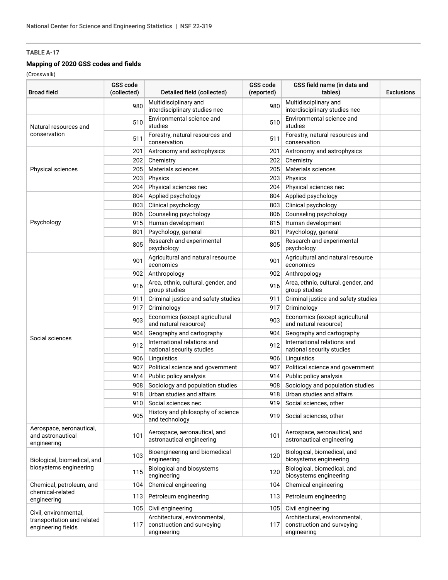#### **Mapping of 2020 GSS codes and fields**

(Crosswalk)

| <b>Broad field</b>                                           | GSS code<br>(collected) | Detailed field (collected)                                                 | GSS code<br>(reported) | GSS field name (in data and<br>tables)                                     | <b>Exclusions</b> |
|--------------------------------------------------------------|-------------------------|----------------------------------------------------------------------------|------------------------|----------------------------------------------------------------------------|-------------------|
|                                                              | 980                     | Multidisciplinary and<br>interdisciplinary studies nec                     | 980                    | Multidisciplinary and<br>interdisciplinary studies nec                     |                   |
| Natural resources and<br>conservation                        | 510                     | Environmental science and<br>studies                                       | 510                    | Environmental science and<br>studies                                       |                   |
|                                                              | 511                     | Forestry, natural resources and<br>conservation                            | 511                    | Forestry, natural resources and<br>conservation                            |                   |
|                                                              | 201                     | Astronomy and astrophysics                                                 | 201                    | Astronomy and astrophysics                                                 |                   |
|                                                              | 202                     | Chemistry                                                                  | 202                    | Chemistry                                                                  |                   |
| <b>Physical sciences</b>                                     | 205                     | Materials sciences                                                         | 205                    | Materials sciences                                                         |                   |
|                                                              | 203                     | Physics                                                                    | 203                    | Physics                                                                    |                   |
|                                                              | 204                     | Physical sciences nec                                                      | 204                    | Physical sciences nec                                                      |                   |
|                                                              | 804                     | Applied psychology                                                         | 804                    | Applied psychology                                                         |                   |
|                                                              | 803                     | Clinical psychology                                                        | 803                    | Clinical psychology                                                        |                   |
|                                                              | 806                     | Counseling psychology                                                      | 806                    | Counseling psychology                                                      |                   |
| Psychology                                                   | 915                     | Human development                                                          | 815                    | Human development                                                          |                   |
|                                                              | 801                     | Psychology, general                                                        | 801                    | Psychology, general                                                        |                   |
|                                                              | 805                     | Research and experimental<br>psychology                                    | 805                    | Research and experimental<br>psychology                                    |                   |
|                                                              | 901                     | Agricultural and natural resource<br>economics                             | 901                    | Agricultural and natural resource<br>economics                             |                   |
|                                                              | 902                     | Anthropology                                                               | 902                    | Anthropology                                                               |                   |
|                                                              | 916                     | Area, ethnic, cultural, gender, and<br>group studies                       | 916                    | Area, ethnic, cultural, gender, and<br>group studies                       |                   |
|                                                              | 911                     | Criminal justice and safety studies                                        | 911                    | Criminal justice and safety studies                                        |                   |
|                                                              | 917                     | Criminology                                                                | 917                    | Criminology                                                                |                   |
|                                                              | 903                     | Economics (except agricultural<br>and natural resource)                    | 903                    | Economics (except agricultural<br>and natural resource)                    |                   |
|                                                              | 904                     | Geography and cartography                                                  | 904                    | Geography and cartography                                                  |                   |
| Social sciences                                              | 912                     | International relations and<br>national security studies                   | 912                    | International relations and<br>national security studies                   |                   |
|                                                              | 906                     | Linguistics                                                                | 906                    | Linguistics                                                                |                   |
|                                                              | 907                     | Political science and government                                           | 907                    | Political science and government                                           |                   |
|                                                              | 914                     | Public policy analysis                                                     | 914                    | Public policy analysis                                                     |                   |
|                                                              | 908                     | Sociology and population studies                                           | 908                    | Sociology and population studies                                           |                   |
|                                                              | 918                     | Urban studies and affairs                                                  | 918                    | Urban studies and affairs                                                  |                   |
|                                                              | 910                     | Social sciences nec                                                        | 919                    | Social sciences, other                                                     |                   |
|                                                              | 905                     | History and philosophy of science<br>and technology                        | 919                    | Social sciences, other                                                     |                   |
| Aerospace, aeronautical,<br>and astronautical<br>engineering | 101                     | Aerospace, aeronautical, and<br>astronautical engineering                  | 101                    | Aerospace, aeronautical, and<br>astronautical engineering                  |                   |
| Biological, biomedical, and<br>biosystems engineering        | 103                     | Bioengineering and biomedical<br>engineering                               | 120                    | Biological, biomedical, and<br>biosystems engineering                      |                   |
|                                                              | 115                     | Biological and biosystems<br>engineering                                   | 120                    | Biological, biomedical, and<br>biosystems engineering                      |                   |
| Chemical, petroleum, and                                     | 104                     | Chemical engineering                                                       | 104                    | Chemical engineering                                                       |                   |
| chemical-related<br>engineering                              | 113                     | Petroleum engineering                                                      | 113                    | Petroleum engineering                                                      |                   |
| Civil, environmental,                                        | 105                     | Civil engineering                                                          | 105                    | Civil engineering                                                          |                   |
| transportation and related<br>engineering fields             | 117                     | Architectural, environmental,<br>construction and surveying<br>engineering | 117                    | Architectural, environmental,<br>construction and surveying<br>engineering |                   |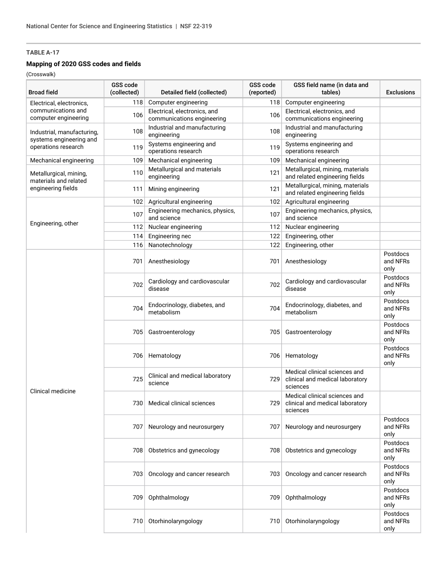#### **Mapping of 2020 GSS codes and fields**

(Crosswalk)

| <b>Broad field</b>                                                           | GSS code<br>(collected) | Detailed field (collected)                                 | GSS code<br>(reported) | GSS field name (in data and<br>tables)                                       | <b>Exclusions</b>            |
|------------------------------------------------------------------------------|-------------------------|------------------------------------------------------------|------------------------|------------------------------------------------------------------------------|------------------------------|
| Electrical, electronics,                                                     | 118                     | Computer engineering                                       | 118                    | Computer engineering                                                         |                              |
| communications and<br>computer engineering                                   | 106                     | Electrical, electronics, and<br>communications engineering | 106                    | Electrical, electronics, and<br>communications engineering                   |                              |
| Industrial, manufacturing,<br>systems engineering and<br>operations research | 108                     | Industrial and manufacturing<br>engineering                | 108                    | Industrial and manufacturing<br>engineering                                  |                              |
|                                                                              | 119                     | Systems engineering and<br>operations research             | 119                    | Systems engineering and<br>operations research                               |                              |
| Mechanical engineering                                                       | 109                     | Mechanical engineering                                     | 109                    | Mechanical engineering                                                       |                              |
| Metallurgical, mining,                                                       | 110                     | Metallurgical and materials<br>engineering                 | 121                    | Metallurgical, mining, materials<br>and related engineering fields           |                              |
| materials and related<br>engineering fields                                  | 111                     | Mining engineering                                         | 121                    | Metallurgical, mining, materials<br>and related engineering fields           |                              |
|                                                                              | 102                     | Agricultural engineering                                   | 102                    | Agricultural engineering                                                     |                              |
|                                                                              | 107                     | Engineering mechanics, physics,<br>and science             | 107                    | Engineering mechanics, physics,<br>and science                               |                              |
| Engineering, other                                                           | 112                     | Nuclear engineering                                        | 112                    | Nuclear engineering                                                          |                              |
|                                                                              | 114                     | Engineering nec                                            | 122                    | Engineering, other                                                           |                              |
|                                                                              | 116                     | Nanotechnology                                             | 122                    | Engineering, other                                                           |                              |
| Clinical medicine                                                            | 701                     | Anesthesiology                                             | 701                    | Anesthesiology                                                               | Postdocs<br>and NFRs<br>only |
|                                                                              | 702                     | Cardiology and cardiovascular<br>disease                   | 702                    | Cardiology and cardiovascular<br>disease                                     | Postdocs<br>and NFRs<br>only |
|                                                                              | 704                     | Endocrinology, diabetes, and<br>metabolism                 | 704                    | Endocrinology, diabetes, and<br>metabolism                                   | Postdocs<br>and NFRs<br>only |
|                                                                              | 705                     | Gastroenterology                                           | 705                    | Gastroenterology                                                             | Postdocs<br>and NFRs<br>only |
|                                                                              | 706                     | Hematology                                                 | 706                    | Hematology                                                                   | Postdocs<br>and NFRs<br>only |
|                                                                              | 725                     | Clinical and medical laboratory<br>science                 | 729                    | Medical clinical sciences and<br>clinical and medical laboratory<br>sciences |                              |
|                                                                              | 730                     | Medical clinical sciences                                  | 729                    | Medical clinical sciences and<br>clinical and medical laboratory<br>sciences |                              |
|                                                                              | 707                     | Neurology and neurosurgery                                 | 707                    | Neurology and neurosurgery                                                   | Postdocs<br>and NFRs<br>only |
|                                                                              | 708                     | Obstetrics and gynecology                                  | 708                    | Obstetrics and gynecology                                                    | Postdocs<br>and NFRs<br>only |
|                                                                              | 703                     | Oncology and cancer research                               | 703                    | Oncology and cancer research                                                 | Postdocs<br>and NFRs<br>only |
|                                                                              | 709                     | Ophthalmology                                              | 709                    | Ophthalmology                                                                | Postdocs<br>and NFRs<br>only |
|                                                                              | 710                     | Otorhinolaryngology                                        | 710                    | Otorhinolaryngology                                                          | Postdocs<br>and NFRs<br>only |